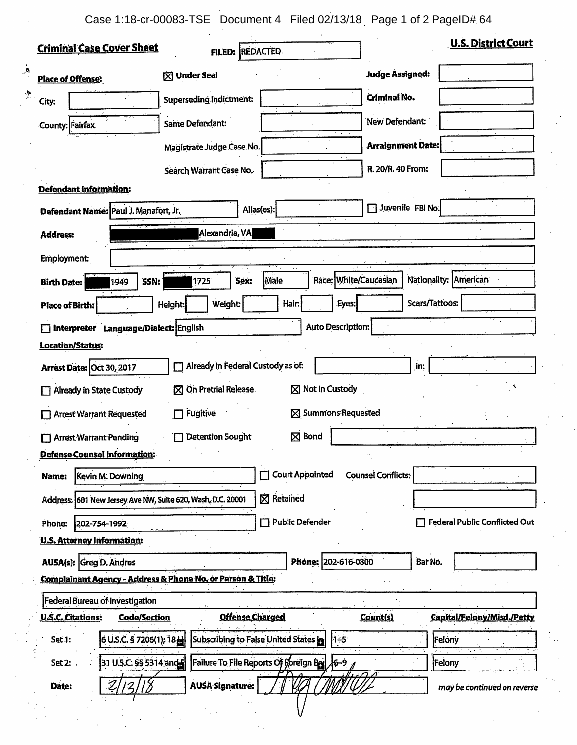Case 1:18-cr-00083-TSE Document 4 Filed 02/13/18 Page 1 of 2 PageID# 64

 $\mathcal{A}$ 

 $\overline{\mathbf{r}}$ 

| <b>Criminal Case Cover Sheet</b>                                                                 | <b>FILED: REDACTED</b>                |                           | <b>U.S. District Court</b>           |  |  |  |  |  |
|--------------------------------------------------------------------------------------------------|---------------------------------------|---------------------------|--------------------------------------|--|--|--|--|--|
| <b>Place of Offense:</b>                                                                         | <b>⊠ Under Seal</b>                   | <b>Judge Assigned:</b>    |                                      |  |  |  |  |  |
| City:                                                                                            | Superseding Indictment:               | <b>Criminal No.</b>       |                                      |  |  |  |  |  |
| County: Fairfax                                                                                  | <b>Same Defendant:</b>                | New Defendant:            |                                      |  |  |  |  |  |
|                                                                                                  | Magistrate Judge Case No.             | <b>Arraignment Date:</b>  |                                      |  |  |  |  |  |
|                                                                                                  | Search Warrant Case No.               | R. 20/R. 40 From:         |                                      |  |  |  |  |  |
| <b>Defendant Information:</b>                                                                    |                                       |                           |                                      |  |  |  |  |  |
| Defendant Name: Paul J. Manafort, Jr.                                                            | Alias(es):                            | Juvenile FBI No.          |                                      |  |  |  |  |  |
| Alexandria, VA<br><b>Address:</b>                                                                |                                       |                           |                                      |  |  |  |  |  |
| <b>Employment:</b>                                                                               |                                       |                           |                                      |  |  |  |  |  |
| SSN:<br><b>Birth Date:</b><br>1949                                                               | Male<br>Sex:<br>1725                  | Race: White/Caucasian     | Nationality: American                |  |  |  |  |  |
| <b>Place of Birth:</b>                                                                           | Weight:<br>Hair:<br>Height:           | Eyes:                     | Scars/Tattoos:                       |  |  |  |  |  |
| Auto Description:<br>Interpreter Language/Dialect: English                                       |                                       |                           |                                      |  |  |  |  |  |
| <b>Location/Status:</b>                                                                          |                                       |                           |                                      |  |  |  |  |  |
| Already in Federal Custody as of:<br>Arrest Date: Oct 30, 2017<br>in:<br>П                       |                                       |                           |                                      |  |  |  |  |  |
| $\boxtimes$ Not in Custody<br>⊠ On Pretrial Release<br><b>Already in State Custody</b>           |                                       |                           |                                      |  |  |  |  |  |
| Fugitive<br>⊠ Summons Requested<br><b>Arrest Warrant Requested</b><br>П                          |                                       |                           |                                      |  |  |  |  |  |
| $\boxtimes$ Bond<br><b>Detention Sought</b><br><b>Arrest Warrant Pending</b>                     |                                       |                           |                                      |  |  |  |  |  |
| <b>Defense Counsel Information:</b>                                                              |                                       |                           |                                      |  |  |  |  |  |
| Kevin M. Downing<br>Name:                                                                        | Court Appointed                       | <b>Counsel Conflicts:</b> | ٠.                                   |  |  |  |  |  |
| Address: 601 New Jersey Ave NW, Suite 620, Wash, D.C. 20001                                      | $\boxtimes$ Retained                  |                           |                                      |  |  |  |  |  |
| Phone:<br>202-754-1992                                                                           | Public Defender                       |                           | <b>Federal Public Conflicted Out</b> |  |  |  |  |  |
| <b>U.S. Attorney Information:</b>                                                                |                                       |                           |                                      |  |  |  |  |  |
| <b>AUSA(s):</b> Greg D. Andres                                                                   |                                       | Phone: 202-616-0800       | Bar No.                              |  |  |  |  |  |
| <b>Complainant Agency - Address &amp; Phone No. or Person &amp; Title:</b>                       |                                       |                           |                                      |  |  |  |  |  |
| Federal Bureau of Investigation                                                                  |                                       |                           |                                      |  |  |  |  |  |
| <b>U.S.C. Citations:</b><br><b>Code/Section</b>                                                  | <b>Offense Charged</b>                | Count(s)                  | Capital/Felony/Misd./Petty           |  |  |  |  |  |
| 6 U.S.C. § 7206(1); 18H<br>Set 1:                                                                | Subscribing to False United States in | $1 - 5$                   | Felony                               |  |  |  |  |  |
| Failure To File Reports Of Foreign Ball<br>31 U.S.C. §§ 5314 and 5<br>Felony<br>Set 2: .<br>6-9, |                                       |                           |                                      |  |  |  |  |  |
| Date:                                                                                            | <b>AUSA Signature:</b>                |                           | may be continued on reverse          |  |  |  |  |  |
|                                                                                                  |                                       |                           |                                      |  |  |  |  |  |